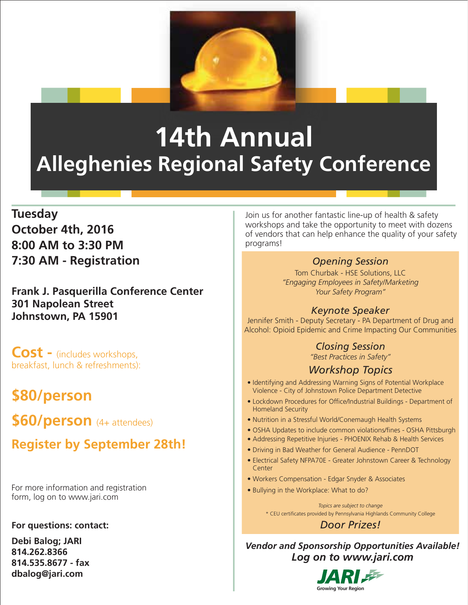

# **14th Annual Alleghenies Regional Safety Conference**

### **Tuesday October 4th, 2016 8:00 AM to 3:30 PM 7:30 AM - Registration**

**Frank J. Pasquerilla Conference Center 301 Napolean Street Johnstown, PA 15901** *Keynote Speaker* Jennifer Smith - Deputy Secretary - PA Department of Drug and

**Cost -** (includes workshops, breakfast, lunch & refreshments):

## **\$80/person**

**\$60/person** (4+ attendees)

## **Register by September 28th!**

For more information and registration form, log on to www.jari.com

#### **For questions: contact:**

**Debi Balog; JARI 814.262.8366 814.535.8677 - fax dbalog@jari.com**

Join us for another fantastic line-up of health & safety workshops and take the opportunity to meet with dozens of vendors that can help enhance the quality of your safety programs!

#### *Opening Session*

Tom Churbak - HSE Solutions, LLC *"Engaging Employees in Safety/Marketing Your Safety Program"*

Alcohol: Opioid Epidemic and Crime Impacting Our Communities

#### *Closing Session*

*"Best Practices in Safety"*

#### *Workshop Topics*

- Identifying and Addressing Warning Signs of Potential Workplace Violence - City of Johnstown Police Department Detective
- Lockdown Procedures for Office/Industrial Buildings Department of Homeland Security
- Nutrition in a Stressful World/Conemaugh Health Systems
- OSHA Updates to include common violations/fines OSHA Pittsburgh
- Addressing Repetitive Injuries PHOENIX Rehab & Health Services
- Driving in Bad Weather for General Audience PennDOT
- Electrical Safety NFPA70E Greater Johnstown Career & Technology Center
- Workers Compensation Edgar Snyder & Associates
- Bullying in the Workplace: What to do?

\* CEU certificates provided by Pennsylvania Highlands Community College *Topics are subject to change*

*Door Prizes!*

*Vendor and Sponsorship Opportunities Available! Log on to www.jari.com*